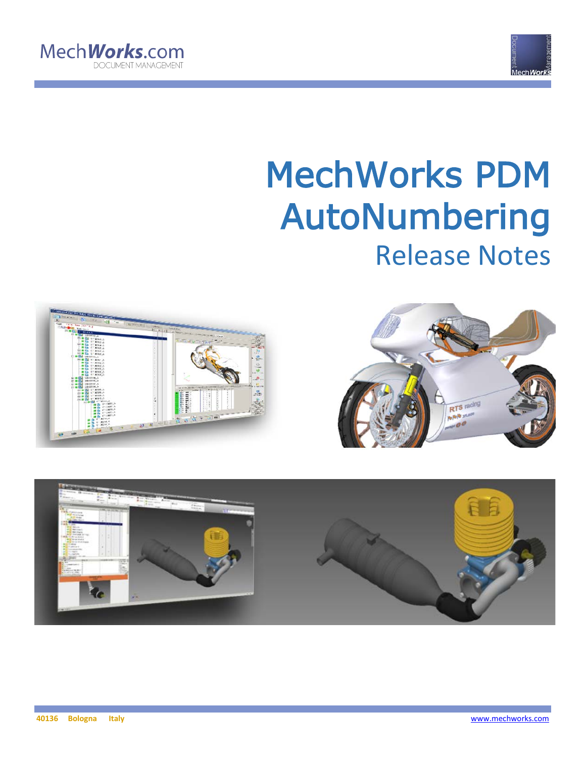



# MechWorks PDM AutoNumbering Release Notes





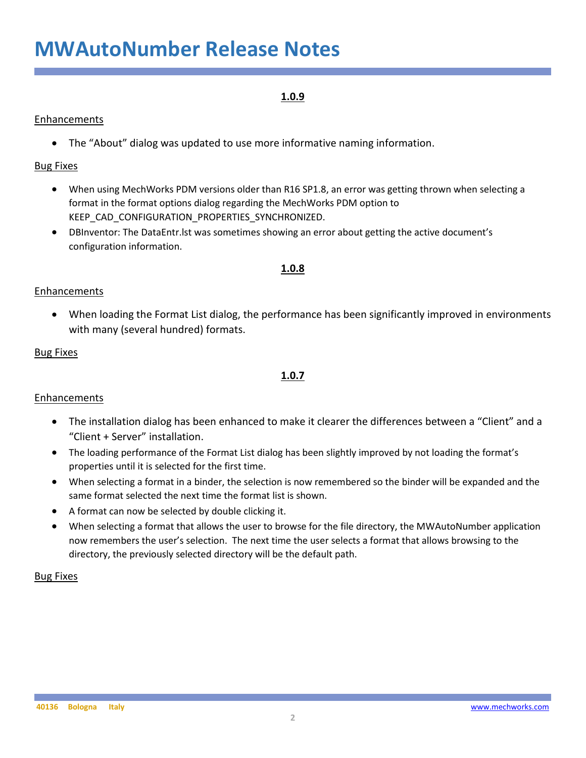# **MWAutoNumber Release Notes**

## **1.0.9**

### **Enhancements**

• The "About" dialog was updated to use more informative naming information.

### Bug Fixes

- When using MechWorks PDM versions older than R16 SP1.8, an error was getting thrown when selecting a format in the format options dialog regarding the MechWorks PDM option to KEEP\_CAD\_CONFIGURATION\_PROPERTIES\_SYNCHRONIZED.
- DBInventor: The DataEntr.lst was sometimes showing an error about getting the active document's configuration information.

### **1.0.8**

### Enhancements

• When loading the Format List dialog, the performance has been significantly improved in environments with many (several hundred) formats.

### Bug Fixes

### **1.0.7**

#### Enhancements

- The installation dialog has been enhanced to make it clearer the differences between a "Client" and a "Client + Server" installation.
- The loading performance of the Format List dialog has been slightly improved by not loading the format's properties until it is selected for the first time.
- When selecting a format in a binder, the selection is now remembered so the binder will be expanded and the same format selected the next time the format list is shown.
- A format can now be selected by double clicking it.
- When selecting a format that allows the user to browse for the file directory, the MWAutoNumber application now remembers the user's selection. The next time the user selects a format that allows browsing to the directory, the previously selected directory will be the default path.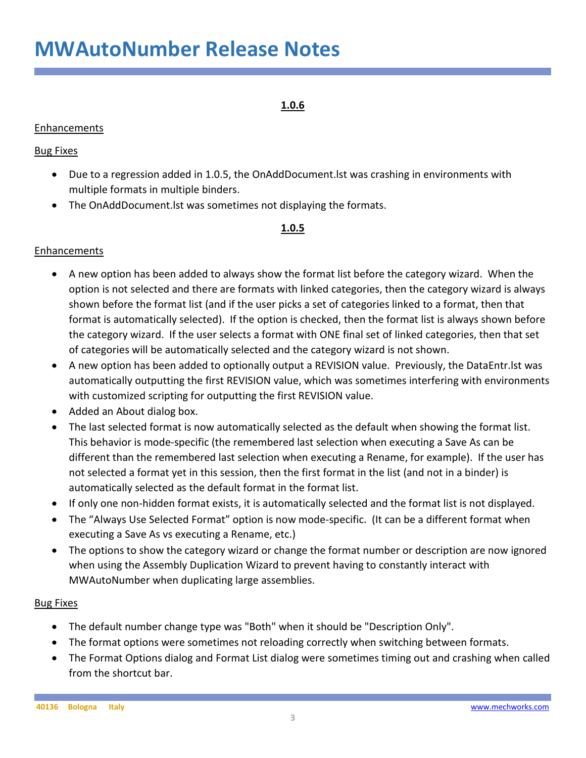### **1.0.6**

### Enhancements

### Bug Fixes

- Due to a regression added in 1.0.5, the OnAddDocument.lst was crashing in environments with multiple formats in multiple binders.
- The OnAddDocument.lst was sometimes not displaying the formats.

### **1.0.5**

### Enhancements

- A new option has been added to always show the format list before the category wizard. When the option is not selected and there are formats with linked categories, then the category wizard is always shown before the format list (and if the user picks a set of categories linked to a format, then that format is automatically selected). If the option is checked, then the format list is always shown before the category wizard. If the user selects a format with ONE final set of linked categories, then that set of categories will be automatically selected and the category wizard is not shown.
- A new option has been added to optionally output a REVISION value. Previously, the DataEntr.lst was automatically outputting the first REVISION value, which was sometimes interfering with environments with customized scripting for outputting the first REVISION value.
- Added an About dialog box.
- The last selected format is now automatically selected as the default when showing the format list. This behavior is mode-specific (the remembered last selection when executing a Save As can be different than the remembered last selection when executing a Rename, for example). If the user has not selected a format yet in this session, then the first format in the list (and not in a binder) is automatically selected as the default format in the format list.
- If only one non-hidden format exists, it is automatically selected and the format list is not displayed.
- The "Always Use Selected Format" option is now mode-specific. (It can be a different format when executing a Save As vs executing a Rename, etc.)
- The options to show the category wizard or change the format number or description are now ignored when using the Assembly Duplication Wizard to prevent having to constantly interact with MWAutoNumber when duplicating large assemblies.

- The default number change type was "Both" when it should be "Description Only".
- The format options were sometimes not reloading correctly when switching between formats.
- The Format Options dialog and Format List dialog were sometimes timing out and crashing when called from the shortcut bar.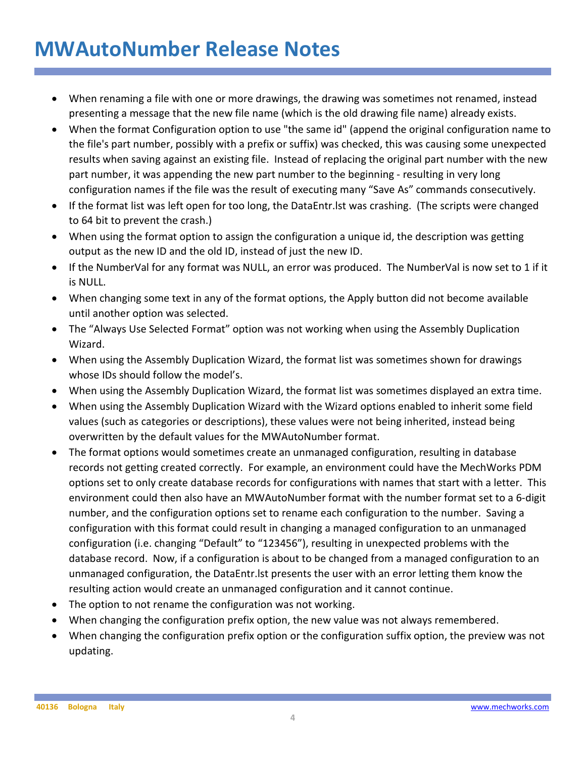# **MWAutoNumber Release Notes**

- When renaming a file with one or more drawings, the drawing was sometimes not renamed, instead presenting a message that the new file name (which is the old drawing file name) already exists.
- When the format Configuration option to use "the same id" (append the original configuration name to the file's part number, possibly with a prefix or suffix) was checked, this was causing some unexpected results when saving against an existing file. Instead of replacing the original part number with the new part number, it was appending the new part number to the beginning - resulting in very long configuration names if the file was the result of executing many "Save As" commands consecutively.
- If the format list was left open for too long, the DataEntr.lst was crashing. (The scripts were changed to 64 bit to prevent the crash.)
- When using the format option to assign the configuration a unique id, the description was getting output as the new ID and the old ID, instead of just the new ID.
- If the NumberVal for any format was NULL, an error was produced. The NumberVal is now set to 1 if it is NULL.
- When changing some text in any of the format options, the Apply button did not become available until another option was selected.
- The "Always Use Selected Format" option was not working when using the Assembly Duplication Wizard.
- When using the Assembly Duplication Wizard, the format list was sometimes shown for drawings whose IDs should follow the model's.
- When using the Assembly Duplication Wizard, the format list was sometimes displayed an extra time.
- When using the Assembly Duplication Wizard with the Wizard options enabled to inherit some field values (such as categories or descriptions), these values were not being inherited, instead being overwritten by the default values for the MWAutoNumber format.
- The format options would sometimes create an unmanaged configuration, resulting in database records not getting created correctly. For example, an environment could have the MechWorks PDM options set to only create database records for configurations with names that start with a letter. This environment could then also have an MWAutoNumber format with the number format set to a 6-digit number, and the configuration options set to rename each configuration to the number. Saving a configuration with this format could result in changing a managed configuration to an unmanaged configuration (i.e. changing "Default" to "123456"), resulting in unexpected problems with the database record. Now, if a configuration is about to be changed from a managed configuration to an unmanaged configuration, the DataEntr.lst presents the user with an error letting them know the resulting action would create an unmanaged configuration and it cannot continue.
- The option to not rename the configuration was not working.
- When changing the configuration prefix option, the new value was not always remembered.
- When changing the configuration prefix option or the configuration suffix option, the preview was not updating.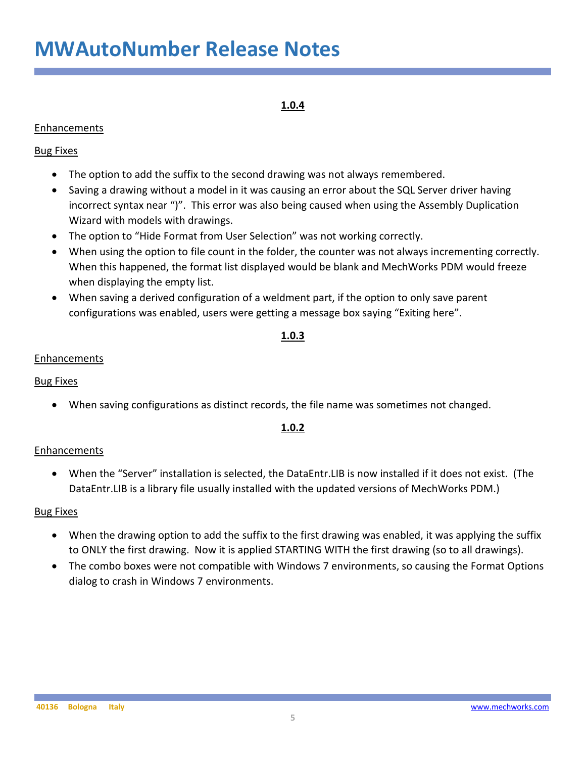# **MWAutoNumber Release Notes**

# **1.0.4**

### Enhancements

### Bug Fixes

- The option to add the suffix to the second drawing was not always remembered.
- Saving a drawing without a model in it was causing an error about the SQL Server driver having incorrect syntax near ")". This error was also being caused when using the Assembly Duplication Wizard with models with drawings.
- The option to "Hide Format from User Selection" was not working correctly.
- When using the option to file count in the folder, the counter was not always incrementing correctly. When this happened, the format list displayed would be blank and MechWorks PDM would freeze when displaying the empty list.
- When saving a derived configuration of a weldment part, if the option to only save parent configurations was enabled, users were getting a message box saying "Exiting here".

### **1.0.3**

### Enhancements

### Bug Fixes

• When saving configurations as distinct records, the file name was sometimes not changed.

### **1.0.2**

### Enhancements

• When the "Server" installation is selected, the DataEntr.LIB is now installed if it does not exist. (The DataEntr.LIB is a library file usually installed with the updated versions of MechWorks PDM.)

- When the drawing option to add the suffix to the first drawing was enabled, it was applying the suffix to ONLY the first drawing. Now it is applied STARTING WITH the first drawing (so to all drawings).
- The combo boxes were not compatible with Windows 7 environments, so causing the Format Options dialog to crash in Windows 7 environments.